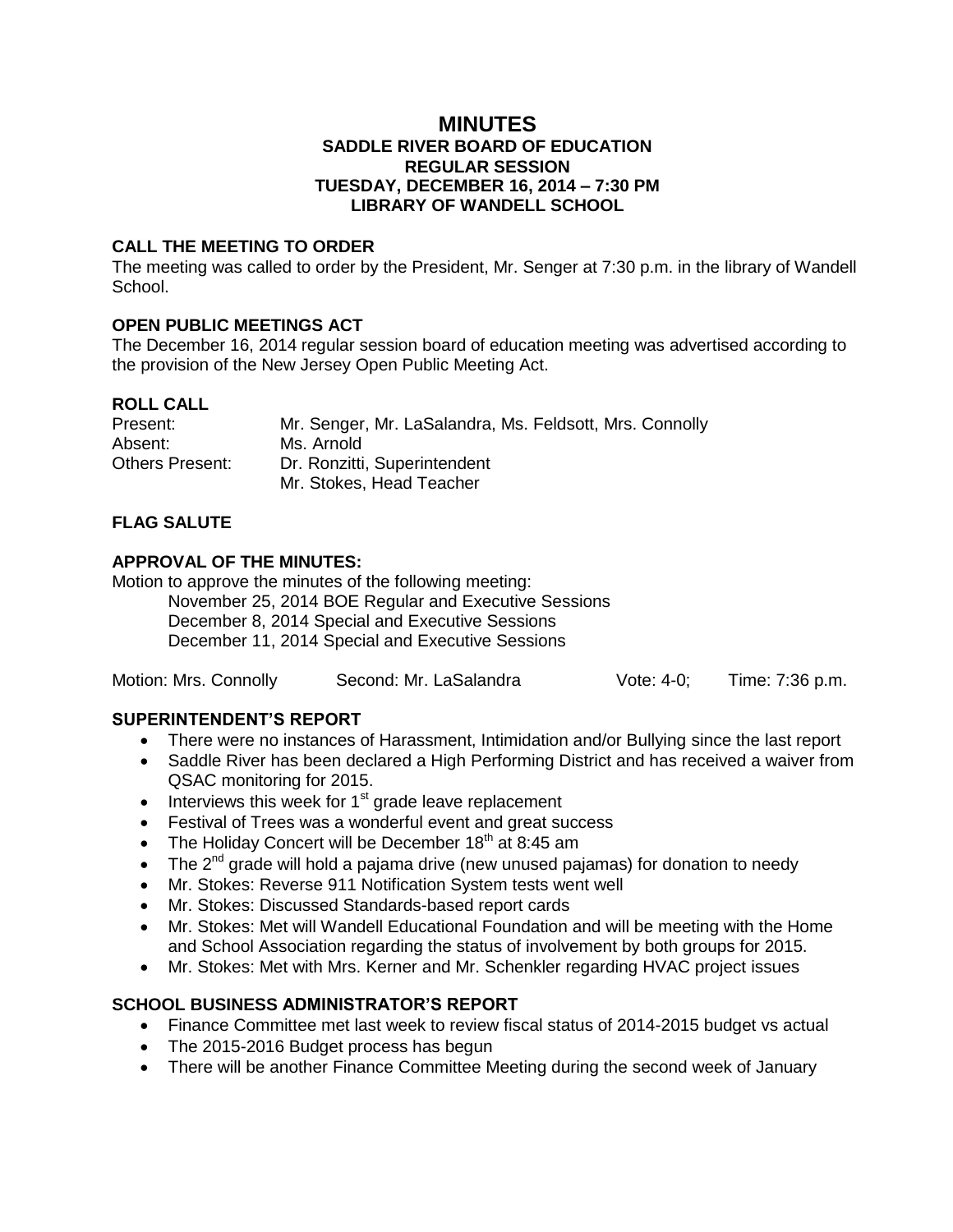### **MINUTES SADDLE RIVER BOARD OF EDUCATION REGULAR SESSION TUESDAY, DECEMBER 16, 2014 – 7:30 PM LIBRARY OF WANDELL SCHOOL**

### **CALL THE MEETING TO ORDER**

The meeting was called to order by the President, Mr. Senger at 7:30 p.m. in the library of Wandell School.

# **OPEN PUBLIC MEETINGS ACT**

The December 16, 2014 regular session board of education meeting was advertised according to the provision of the New Jersey Open Public Meeting Act.

### **ROLL CALL**

| Present:        | Mr. Senger, Mr. LaSalandra, Ms. Feldsott, Mrs. Connolly |
|-----------------|---------------------------------------------------------|
| Absent:         | Ms. Arnold                                              |
| Others Present: | Dr. Ronzitti, Superintendent                            |
|                 | Mr. Stokes, Head Teacher                                |

# **FLAG SALUTE**

### **APPROVAL OF THE MINUTES:**

Motion to approve the minutes of the following meeting:

November 25, 2014 BOE Regular and Executive Sessions December 8, 2014 Special and Executive Sessions December 11, 2014 Special and Executive Sessions

| Motion: Mrs. Connolly | Second: Mr. LaSalandra | Vote: $4-0$ ; | Time: 7:36 p.m. |
|-----------------------|------------------------|---------------|-----------------|
|-----------------------|------------------------|---------------|-----------------|

# **SUPERINTENDENT'S REPORT**

- There were no instances of Harassment, Intimidation and/or Bullying since the last report
- Saddle River has been declared a High Performing District and has received a waiver from QSAC monitoring for 2015.
- $\bullet$  Interviews this week for 1<sup>st</sup> grade leave replacement
- Festival of Trees was a wonderful event and great success
- The Holiday Concert will be December  $18<sup>th</sup>$  at 8:45 am
- The  $2^{nd}$  grade will hold a pajama drive (new unused pajamas) for donation to needy
- Mr. Stokes: Reverse 911 Notification System tests went well
- Mr. Stokes: Discussed Standards-based report cards
- Mr. Stokes: Met will Wandell Educational Foundation and will be meeting with the Home and School Association regarding the status of involvement by both groups for 2015.
- Mr. Stokes: Met with Mrs. Kerner and Mr. Schenkler regarding HVAC project issues

# **SCHOOL BUSINESS ADMINISTRATOR'S REPORT**

- Finance Committee met last week to review fiscal status of 2014-2015 budget vs actual
- The 2015-2016 Budget process has begun
- There will be another Finance Committee Meeting during the second week of January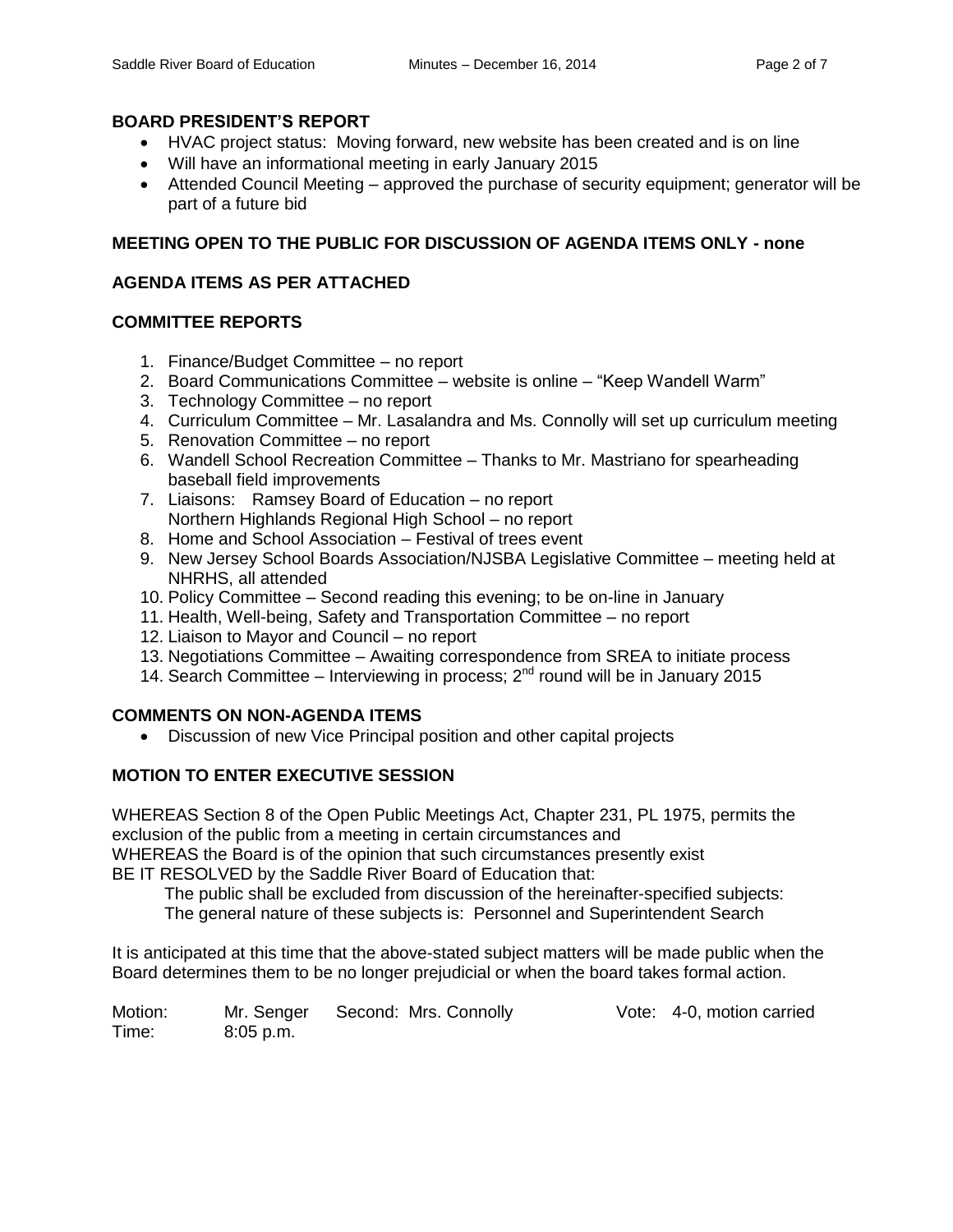### **BOARD PRESIDENT'S REPORT**

- HVAC project status: Moving forward, new website has been created and is on line
- Will have an informational meeting in early January 2015
- Attended Council Meeting approved the purchase of security equipment; generator will be part of a future bid

# **MEETING OPEN TO THE PUBLIC FOR DISCUSSION OF AGENDA ITEMS ONLY - none**

# **AGENDA ITEMS AS PER ATTACHED**

# **COMMITTEE REPORTS**

- 1. Finance/Budget Committee no report
- 2. Board Communications Committee website is online "Keep Wandell Warm"
- 3. Technology Committee no report
- 4. Curriculum Committee Mr. Lasalandra and Ms. Connolly will set up curriculum meeting
- 5. Renovation Committee no report
- 6. Wandell School Recreation Committee Thanks to Mr. Mastriano for spearheading baseball field improvements
- 7. Liaisons: Ramsey Board of Education no report Northern Highlands Regional High School – no report
- 8. Home and School Association Festival of trees event
- 9. New Jersey School Boards Association/NJSBA Legislative Committee meeting held at NHRHS, all attended
- 10. Policy Committee Second reading this evening; to be on-line in January
- 11. Health, Well-being, Safety and Transportation Committee no report
- 12. Liaison to Mayor and Council no report
- 13. Negotiations Committee Awaiting correspondence from SREA to initiate process
- 14. Search Committee Interviewing in process;  $2^{nd}$  round will be in January 2015

# **COMMENTS ON NON-AGENDA ITEMS**

Discussion of new Vice Principal position and other capital projects

# **MOTION TO ENTER EXECUTIVE SESSION**

WHEREAS Section 8 of the Open Public Meetings Act, Chapter 231, PL 1975, permits the exclusion of the public from a meeting in certain circumstances and WHEREAS the Board is of the opinion that such circumstances presently exist BE IT RESOLVED by the Saddle River Board of Education that:

The public shall be excluded from discussion of the hereinafter-specified subjects:

The general nature of these subjects is: Personnel and Superintendent Search

It is anticipated at this time that the above-stated subject matters will be made public when the Board determines them to be no longer prejudicial or when the board takes formal action.

Motion: Mr. Senger Second: Mrs. Connolly Vote: 4-0, motion carried Time: 8:05 p.m.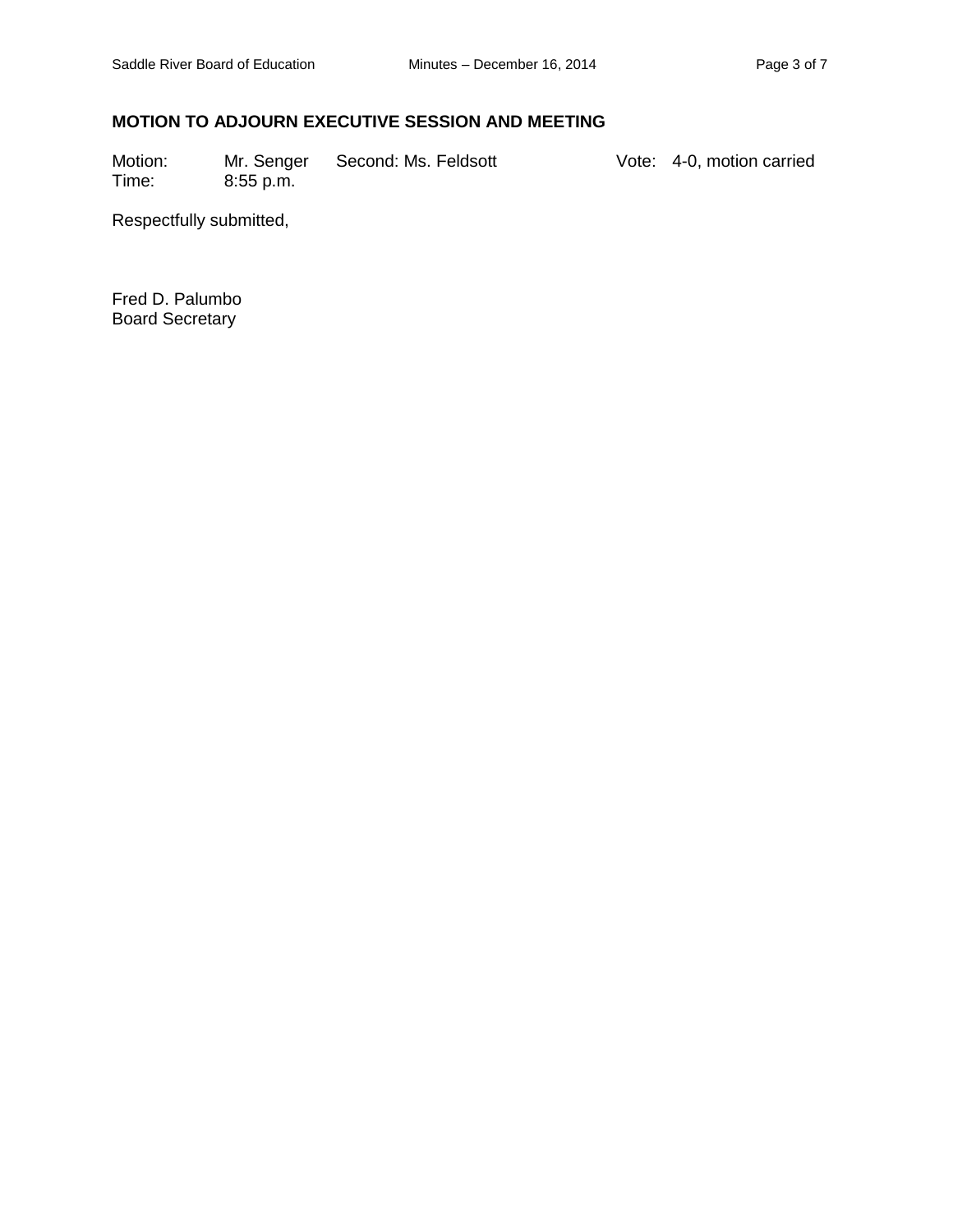# **MOTION TO ADJOURN EXECUTIVE SESSION AND MEETING**

Motion: Mr. Senger Second: Ms. Feldsott Vote: 4-0, motion carried<br>
Time: 8:55 p.m.  $8:55$  p.m.

Respectfully submitted,

Fred D. Palumbo Board Secretary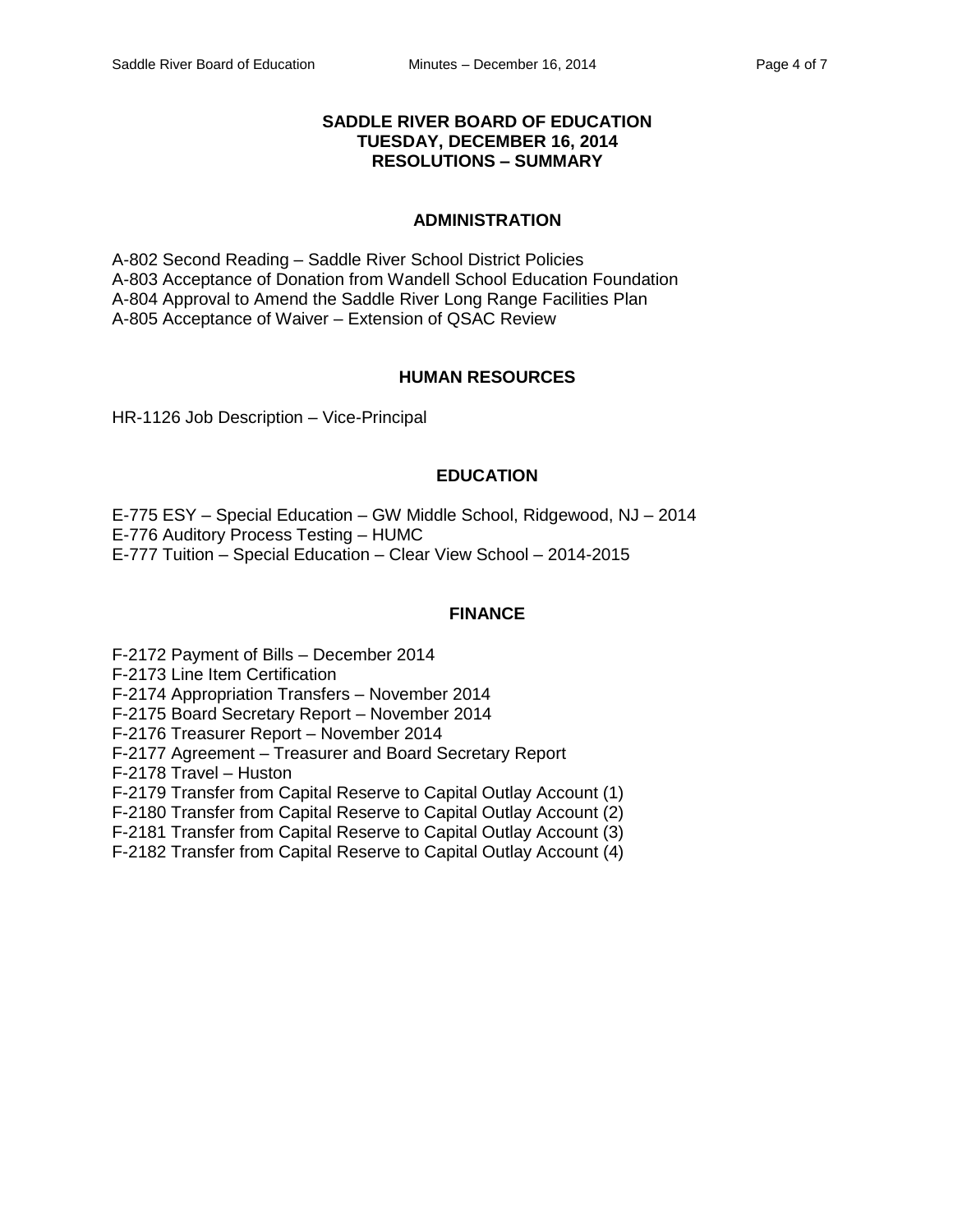#### **SADDLE RIVER BOARD OF EDUCATION TUESDAY, DECEMBER 16, 2014 RESOLUTIONS – SUMMARY**

#### **ADMINISTRATION**

A-802 Second Reading – Saddle River School District Policies A-803 Acceptance of Donation from Wandell School Education Foundation A-804 Approval to Amend the Saddle River Long Range Facilities Plan A-805 Acceptance of Waiver – Extension of QSAC Review

#### **HUMAN RESOURCES**

HR-1126 Job Description – Vice-Principal

#### **EDUCATION**

E-775 ESY – Special Education – GW Middle School, Ridgewood, NJ – 2014 E-776 Auditory Process Testing – HUMC E-777 Tuition – Special Education – Clear View School – 2014-2015

#### **FINANCE**

F-2172 Payment of Bills – December 2014

F-2173 Line Item Certification

F-2174 Appropriation Transfers – November 2014

F-2175 Board Secretary Report – November 2014

F-2176 Treasurer Report – November 2014

F-2177 Agreement – Treasurer and Board Secretary Report

F-2178 Travel – Huston

F-2179 Transfer from Capital Reserve to Capital Outlay Account (1)

F-2180 Transfer from Capital Reserve to Capital Outlay Account (2)

F-2181 Transfer from Capital Reserve to Capital Outlay Account (3)

F-2182 Transfer from Capital Reserve to Capital Outlay Account (4)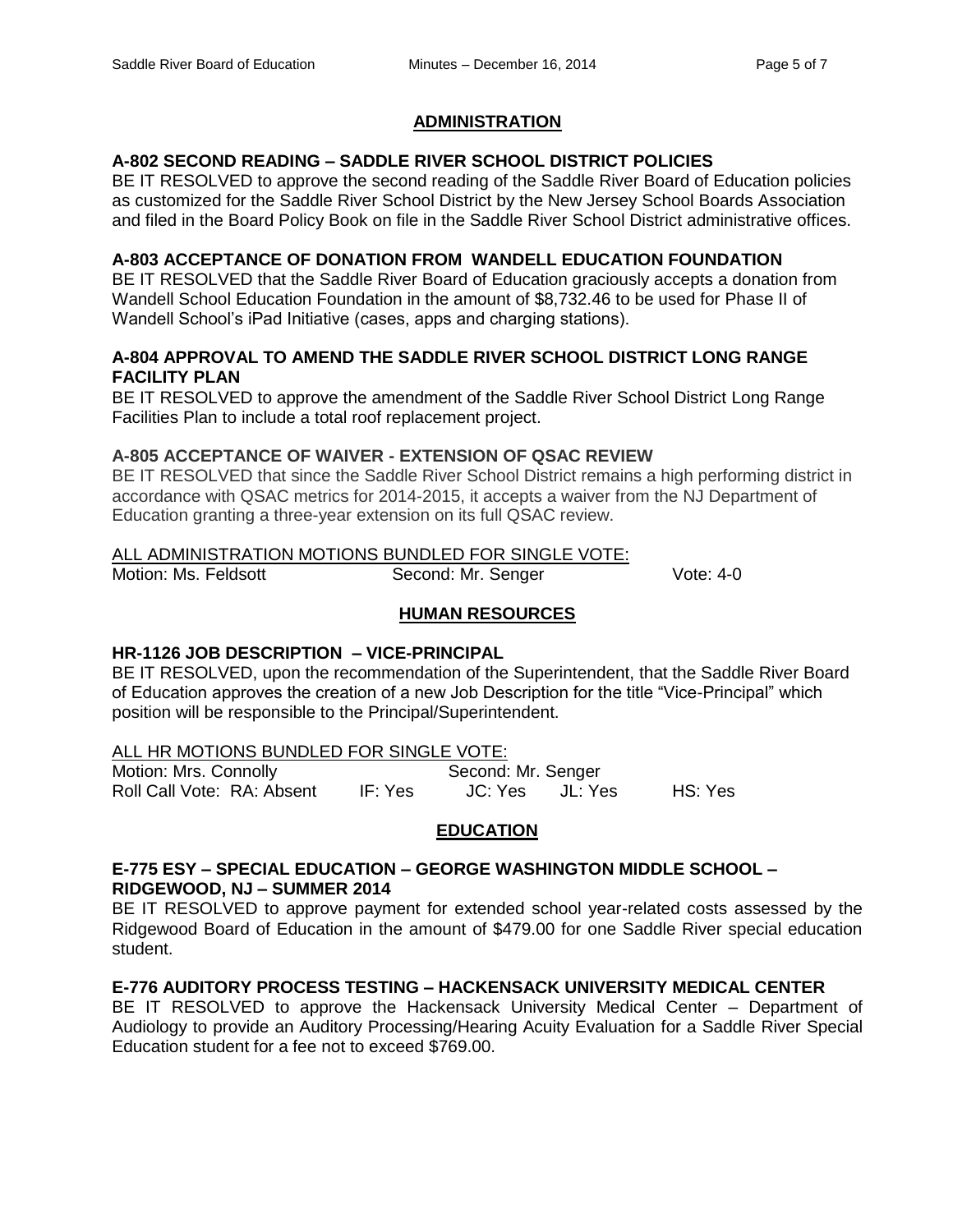### **ADMINISTRATION**

# **A-802 SECOND READING – SADDLE RIVER SCHOOL DISTRICT POLICIES**

BE IT RESOLVED to approve the second reading of the Saddle River Board of Education policies as customized for the Saddle River School District by the New Jersey School Boards Association and filed in the Board Policy Book on file in the Saddle River School District administrative offices.

### **A-803 ACCEPTANCE OF DONATION FROM WANDELL EDUCATION FOUNDATION**

BE IT RESOLVED that the Saddle River Board of Education graciously accepts a donation from Wandell School Education Foundation in the amount of \$8,732.46 to be used for Phase II of Wandell School's iPad Initiative (cases, apps and charging stations).

### **A-804 APPROVAL TO AMEND THE SADDLE RIVER SCHOOL DISTRICT LONG RANGE FACILITY PLAN**

BE IT RESOLVED to approve the amendment of the Saddle River School District Long Range Facilities Plan to include a total roof replacement project.

### **A-805 ACCEPTANCE OF WAIVER - EXTENSION OF QSAC REVIEW**

BE IT RESOLVED that since the Saddle River School District remains a high performing district in accordance with QSAC metrics for 2014-2015, it accepts a waiver from the NJ Department of Education granting a three-year extension on its full QSAC review.

### ALL ADMINISTRATION MOTIONS BUNDLED FOR SINGLE VOTE:

Motion: Ms. Feldsott **Second: Mr. Senger** Vote: 4-0

### **HUMAN RESOURCES**

# **HR-1126 JOB DESCRIPTION – VICE-PRINCIPAL**

BE IT RESOLVED, upon the recommendation of the Superintendent, that the Saddle River Board of Education approves the creation of a new Job Description for the title "Vice-Principal" which position will be responsible to the Principal/Superintendent.

#### ALL HR MOTIONS BUNDLED FOR SINGLE VOTE:

Motion: Mrs. Connolly Second: Mr. Senger Roll Call Vote: RA: Absent IF: Yes JC: Yes JL: Yes HS: Yes

# **EDUCATION**

### **E-775 ESY – SPECIAL EDUCATION – GEORGE WASHINGTON MIDDLE SCHOOL – RIDGEWOOD, NJ – SUMMER 2014**

BE IT RESOLVED to approve payment for extended school year-related costs assessed by the Ridgewood Board of Education in the amount of \$479.00 for one Saddle River special education student.

# **E-776 AUDITORY PROCESS TESTING – HACKENSACK UNIVERSITY MEDICAL CENTER**

BE IT RESOLVED to approve the Hackensack University Medical Center – Department of Audiology to provide an Auditory Processing/Hearing Acuity Evaluation for a Saddle River Special Education student for a fee not to exceed \$769.00.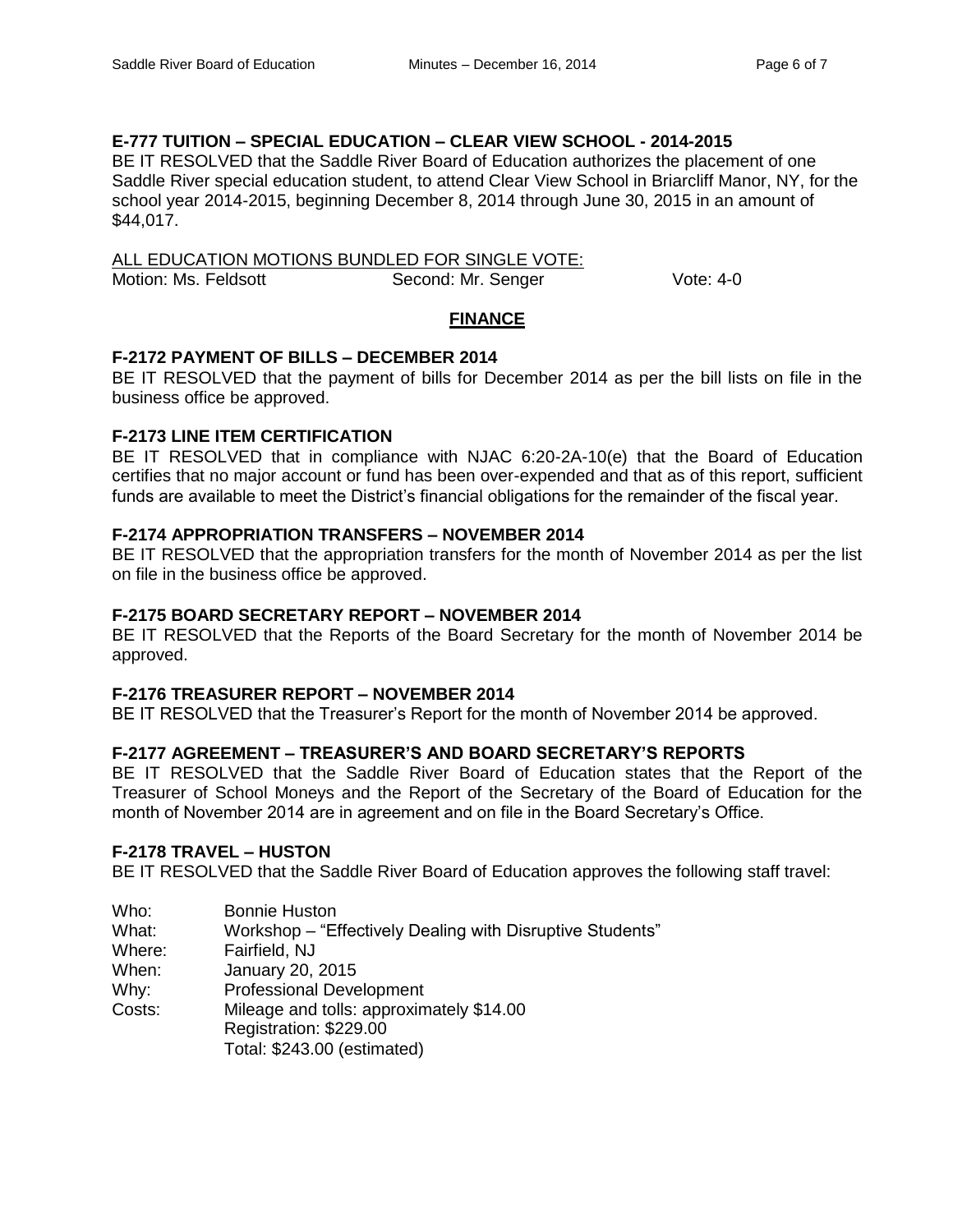# **E-777 TUITION – SPECIAL EDUCATION – CLEAR VIEW SCHOOL - 2014-2015**

BE IT RESOLVED that the Saddle River Board of Education authorizes the placement of one Saddle River special education student, to attend Clear View School in Briarcliff Manor, NY, for the school year 2014-2015, beginning December 8, 2014 through June 30, 2015 in an amount of \$44,017.

ALL EDUCATION MOTIONS BUNDLED FOR SINGLE VOTE: Motion: Ms. Feldsott **Second: Mr. Senger** Vote: 4-0

# **FINANCE**

### **F-2172 PAYMENT OF BILLS – DECEMBER 2014**

BE IT RESOLVED that the payment of bills for December 2014 as per the bill lists on file in the business office be approved.

### **F-2173 LINE ITEM CERTIFICATION**

BE IT RESOLVED that in compliance with NJAC 6:20-2A-10(e) that the Board of Education certifies that no major account or fund has been over-expended and that as of this report, sufficient funds are available to meet the District's financial obligations for the remainder of the fiscal year.

### **F-2174 APPROPRIATION TRANSFERS – NOVEMBER 2014**

BE IT RESOLVED that the appropriation transfers for the month of November 2014 as per the list on file in the business office be approved.

### **F-2175 BOARD SECRETARY REPORT – NOVEMBER 2014**

BE IT RESOLVED that the Reports of the Board Secretary for the month of November 2014 be approved.

#### **F-2176 TREASURER REPORT – NOVEMBER 2014**

BE IT RESOLVED that the Treasurer's Report for the month of November 2014 be approved.

# **F-2177 AGREEMENT – TREASURER'S AND BOARD SECRETARY'S REPORTS**

BE IT RESOLVED that the Saddle River Board of Education states that the Report of the Treasurer of School Moneys and the Report of the Secretary of the Board of Education for the month of November 2014 are in agreement and on file in the Board Secretary's Office.

#### **F-2178 TRAVEL – HUSTON**

BE IT RESOLVED that the Saddle River Board of Education approves the following staff travel:

| Who:<br>What: | <b>Bonnie Huston</b><br>Workshop - "Effectively Dealing with Disruptive Students"                 |
|---------------|---------------------------------------------------------------------------------------------------|
| Where:        | Fairfield, NJ                                                                                     |
| When:         | January 20, 2015                                                                                  |
| Why:          | <b>Professional Development</b>                                                                   |
| Costs:        | Mileage and tolls: approximately \$14.00<br>Registration: \$229.00<br>Total: \$243.00 (estimated) |